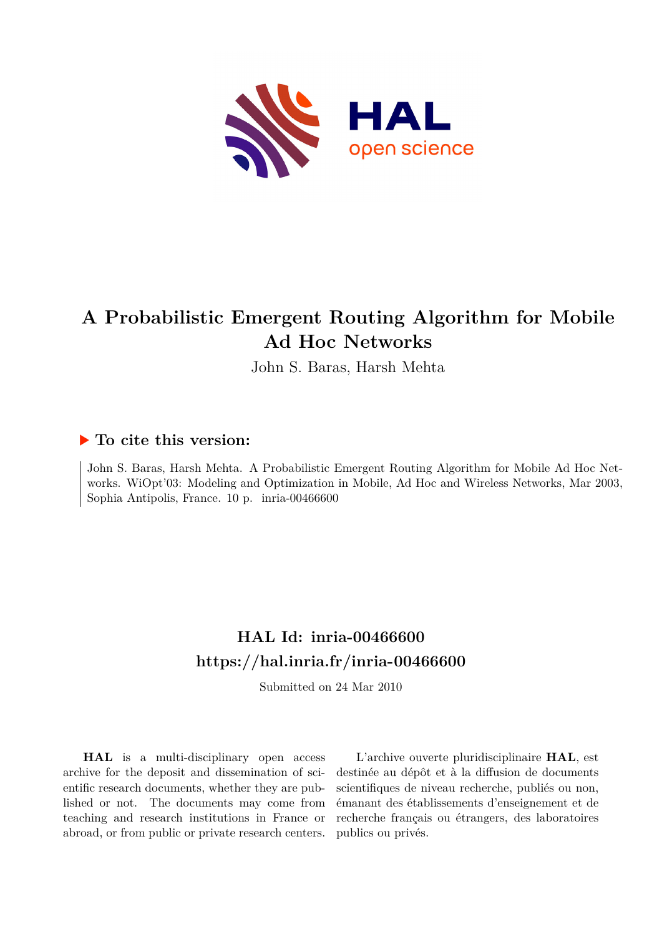

# **A Probabilistic Emergent Routing Algorithm for Mobile Ad Hoc Networks**

John S. Baras, Harsh Mehta

# **To cite this version:**

John S. Baras, Harsh Mehta. A Probabilistic Emergent Routing Algorithm for Mobile Ad Hoc Networks. WiOpt'03: Modeling and Optimization in Mobile, Ad Hoc and Wireless Networks, Mar 2003, Sophia Antipolis, France.  $10$  p. inria-00466600

# **HAL Id: inria-00466600 <https://hal.inria.fr/inria-00466600>**

Submitted on 24 Mar 2010

**HAL** is a multi-disciplinary open access archive for the deposit and dissemination of scientific research documents, whether they are published or not. The documents may come from teaching and research institutions in France or abroad, or from public or private research centers.

L'archive ouverte pluridisciplinaire **HAL**, est destinée au dépôt et à la diffusion de documents scientifiques de niveau recherche, publiés ou non, émanant des établissements d'enseignement et de recherche français ou étrangers, des laboratoires publics ou privés.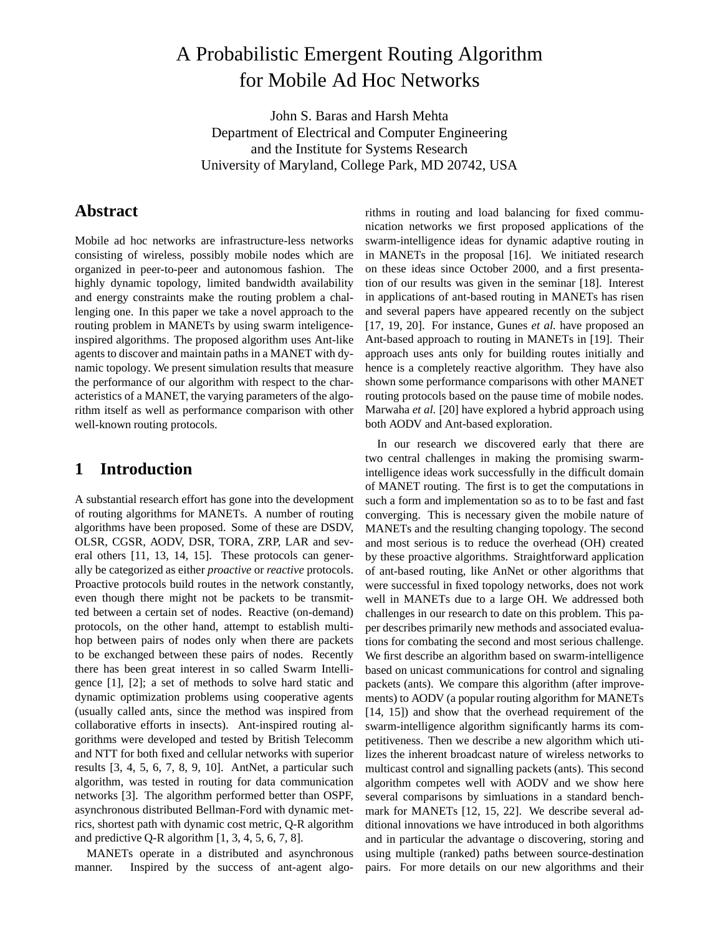# A Probabilistic Emergent Routing Algorithm for Mobile Ad Hoc Networks

John S. Baras and Harsh Mehta Department of Electrical and Computer Engineering and the Institute for Systems Research University of Maryland, College Park, MD 20742, USA

### **Abstract**

Mobile ad hoc networks are infrastructure-less networks consisting of wireless, possibly mobile nodes which are organized in peer-to-peer and autonomous fashion. The highly dynamic topology, limited bandwidth availability and energy constraints make the routing problem a challenging one. In this paper we take a novel approach to the routing problem in MANETs by using swarm inteligenceinspired algorithms. The proposed algorithm uses Ant-like agents to discover and maintain paths in a MANET with dynamic topology. We present simulation results that measure the performance of our algorithm with respect to the characteristics of a MANET, the varying parameters of the algorithm itself as well as performance comparison with other well-known routing protocols.

### **1 Introduction**

A substantial research effort has gone into the development of routing algorithms for MANETs. A number of routing algorithms have been proposed. Some of these are DSDV, OLSR, CGSR, AODV, DSR, TORA, ZRP, LAR and several others [11, 13, 14, 15]. These protocols can generally be categorized as either *proactive* or *reactive* protocols. Proactive protocols build routes in the network constantly, even though there might not be packets to be transmitted between a certain set of nodes. Reactive (on-demand) protocols, on the other hand, attempt to establish multihop between pairs of nodes only when there are packets to be exchanged between these pairs of nodes. Recently there has been great interest in so called Swarm Intelligence [1], [2]; a set of methods to solve hard static and dynamic optimization problems using cooperative agents (usually called ants, since the method was inspired from collaborative efforts in insects). Ant-inspired routing algorithms were developed and tested by British Telecomm and NTT for both fixed and cellular networks with superior results [3, 4, 5, 6, 7, 8, 9, 10]. AntNet, a particular such algorithm, was tested in routing for data communication networks [3]. The algorithm performed better than OSPF, asynchronous distributed Bellman-Ford with dynamic metrics, shortest path with dynamic cost metric, Q-R algorithm and predictive Q-R algorithm  $[1, 3, 4, 5, 6, 7, 8]$ .

MANETs operate in a distributed and asynchronous manner. Inspired by the success of ant-agent algo-

rithms in routing and load balancing for fixed communication networks we first proposed applications of the swarm-intelligence ideas for dynamic adaptive routing in in MANETs in the proposal [16]. We initiated research on these ideas since October 2000, and a first presentation of our results was given in the seminar [18]. Interest in applications of ant-based routing in MANETs has risen and several papers have appeared recently on the subject [17, 19, 20]. For instance, Gunes *et al.* have proposed an Ant-based approach to routing in MANETs in [19]. Their approach uses ants only for building routes initially and hence is a completely reactive algorithm. They have also shown some performance comparisons with other MANET routing protocols based on the pause time of mobile nodes. Marwaha *et al.* [20] have explored a hybrid approach using both AODV and Ant-based exploration.

In our research we discovered early that there are two central challenges in making the promising swarmintelligence ideas work successfully in the difficult domain of MANET routing. The first is to get the computations in such a form and implementation so as to to be fast and fast converging. This is necessary given the mobile nature of MANETs and the resulting changing topology. The second and most serious is to reduce the overhead (OH) created by these proactive algorithms. Straightforward application of ant-based routing, like AnNet or other algorithms that were successful in fixed topology networks, does not work well in MANETs due to a large OH. We addressed both challenges in our research to date on this problem. This paper describes primarily new methods and associated evaluations for combating the second and most serious challenge. We first describe an algorithm based on swarm-intelligence based on unicast communications for control and signaling packets (ants). We compare this algorithm (after improvements) to AODV (a popular routing algorithm for MANETs [14, 15]) and show that the overhead requirement of the swarm-intelligence algorithm significantly harms its competitiveness. Then we describe a new algorithm which utilizes the inherent broadcast nature of wireless networks to multicast control and signalling packets (ants). This second algorithm competes well with AODV and we show here several comparisons by simluations in a standard benchmark for MANETs [12, 15, 22]. We describe several additional innovations we have introduced in both algorithms and in particular the advantage o discovering, storing and using multiple (ranked) paths between source-destination pairs. For more details on our new algorithms and their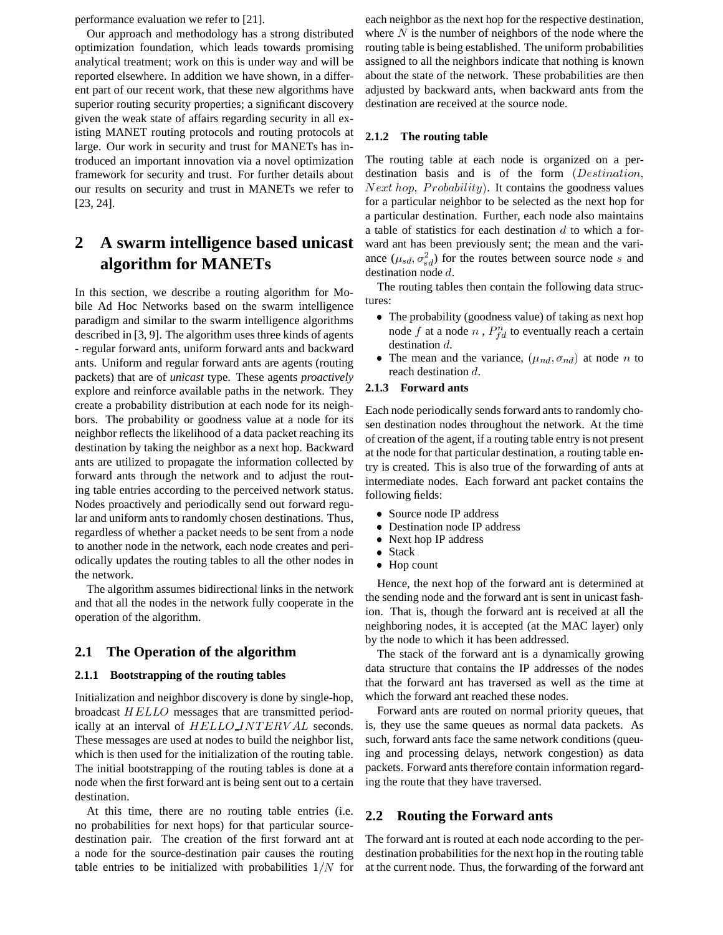performance evaluation we refer to [21].

Our approach and methodology has a strong distributed optimization foundation, which leads towards promising analytical treatment; work on this is under way and will be reported elsewhere. In addition we have shown, in a different part of our recent work, that these new algorithms have superior routing security properties; a significant discovery given the weak state of affairs regarding security in all existing MANET routing protocols and routing protocols at large. Our work in security and trust for MANETs has introduced an important innovation via a novel optimization framework for security and trust. For further details about our results on security and trust in MANETs we refer to [23, 24].

# **2 A swarm intelligence based unicast algorithm for MANETs**

In this section, we describe a routing algorithm for Mobile Ad Hoc Networks based on the swarm intelligence paradigm and similar to the swarm intelligence algorithms described in [3, 9]. The algorithm uses three kinds of agents - regular forward ants, uniform forward ants and backward ants. Uniform and regular forward ants are agents (routing packets) that are of *unicast* type. These agents *proactively* explore and reinforce available paths in the network. They create a probability distribution at each node for its neighbors. The probability or goodness value at a node for its neighbor reflects the likelihood of a data packet reaching its destination by taking the neighbor as a next hop. Backward ants are utilized to propagate the information collected by forward ants through the network and to adjust the routing table entries according to the perceived network status. Nodes proactively and periodically send out forward regular and uniform ants to randomly chosen destinations. Thus, regardless of whether a packet needs to be sent from a node to another node in the network, each node creates and periodically updates the routing tables to all the other nodes in the network.

The algorithm assumes bidirectional links in the network and that all the nodes in the network fully cooperate in the operation of the algorithm.

#### **2.1 The Operation of the algorithm**

#### **2.1.1 Bootstrapping of the routing tables**

Initialization and neighbor discovery is done by single-hop, broadcast  $HELLO$  messages that are transmitted periodically at an interval of  $HELLO$  JNTERVAL seconds. is These messages are used at nodes to build the neighbor list, which is then used for the initialization of the routing table. The initial bootstrapping of the routing tables is done at a node when the first forward ant is being sent out to a certain destination.

At this time, there are no routing table entries (i.e. no probabilities for next hops) for that particular sourcedestination pair. The creation of the first forward ant at a node for the source-destination pair causes the routing table entries to be initialized with probabilities  $1/N$  for

each neighbor as the next hop for the respective destination, where  $N$  is the number of neighbors of the node where the routing table is being established. The uniform probabilities assigned to all the neighbors indicate that nothing is known about the state of the network. These probabilities are then adjusted by backward ants, when backward ants from the destination are received at the source node.

#### **2.1.2 The routing table**

The routing table at each node is organized on a perdestination basis and is of the form  $(Destination,$  $Next hop, Probability$ . It contains the goodness values for a particular neighbor to be selected as the next hop for a particular destination. Further, each node also maintains a table of statistics for each destination d to which a forward ant has been previously sent; the mean and the variance  $(\mu_{sd}, \sigma_{sd}^2)$  for the routes between source node s and destination node  $d$ .

The routing tables then contain the following data structures:

- The probability (goodness value) of taking as next hop node f at a node n,  $P_{td}^n$  to eventually reach a certain destination  $d$ .
- The mean and the variance,  $(\mu_{nd}, \sigma_{nd})$  at node n to reach destination  $d$ .

#### **2.1.3 Forward ants**

Each node periodically sends forward ants to randomly chosen destination nodes throughout the network. At the time of creation of the agent, if a routing table entry is not present at the node for that particular destination, a routing table entry is created. This is also true of the forwarding of ants at intermediate nodes. Each forward ant packet contains the following fields:

- Source node IP address
- Destination node IP address
- $\bullet$  Next hop IP address
- Stack
- Hop count

Hence, the next hop of the forward ant is determined at the sending node and the forward ant is sent in unicast fashion. That is, though the forward ant is received at all the neighboring nodes, it is accepted (at the MAC layer) only by the node to which it has been addressed.

The stack of the forward ant is a dynamically growing data structure that contains the IP addresses of the nodes that the forward ant has traversed as well as the time at which the forward ant reached these nodes.

Forward ants are routed on normal priority queues, that is, they use the same queues as normal data packets. As such, forward ants face the same network conditions (queuing and processing delays, network congestion) as data packets. Forward ants therefore contain information regarding the route that they have traversed.

#### **2.2 Routing the Forward ants**

 at the current node. Thus, the forwarding of the forward antThe forward ant is routed at each node according to the perdestination probabilities for the next hop in the routing table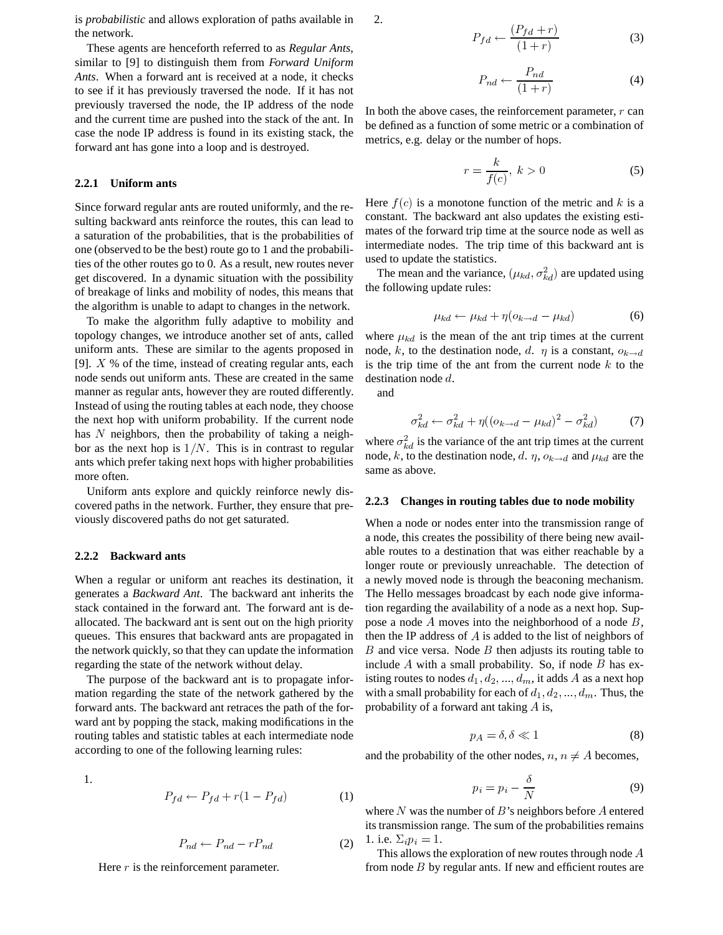is *probabilistic* and allows exploration of paths available in the network.

These agents are henceforth referred to as *Regular Ants*, similar to [9] to distinguish them from *Forward Uniform Ants*. When a forward ant is received at a node, it checks to see if it has previously traversed the node. If it has not previously traversed the node, the IP address of the node and the current time are pushed into the stack of the ant. In case the node IP address is found in its existing stack, the forward ant has gone into a loop and is destroyed.

#### **2.2.1 Uniform ants**

Since forward regular ants are routed uniformly, and the resulting backward ants reinforce the routes, this can lead to a saturation of the probabilities, that is the probabilities of one (observed to be the best) route go to 1 and the probabilities of the other routes go to 0. As a result, new routes never get discovered. In a dynamic situation with the possibility of breakage of links and mobility of nodes, this means that the algorithm is unable to adapt to changes in the network.

To make the algorithm fully adaptive to mobility and topology changes, we introduce another set of ants, called uniform ants. These are similar to the agents proposed in [9].  $X$  % of the time, instead of creating regular ants, each node sends out uniform ants. These are created in the same manner as regular ants, however they are routed differently. Instead of using the routing tables at each node, they choose the next hop with uniform probability. If the current node has  $N$  neighbors, then the probability of taking a neighbor as the next hop is  $1/N$ . This is in contrast to regular ants which prefer taking next hops with higher probabilities more often.

Uniform ants explore and quickly reinforce newly discovered paths in the network. Further, they ensure that previously discovered paths do not get saturated.

#### **2.2.2 Backward ants**

When a regular or uniform ant reaches its destination, it generates a *Backward Ant*. The backward ant inherits the stack contained in the forward ant. The forward ant is deallocated. The backward ant is sent out on the high priority queues. This ensures that backward ants are propagated in the network quickly, so that they can update the information regarding the state of the network without delay.

The purpose of the backward ant is to propagate information regarding the state of the network gathered by the forward ants. The backward ant retraces the path of the forward ant by popping the stack, making modifications in the routing tables and statistic tables at each intermediate node according to one of the following learning rules:

1.

$$
P_{fd} \leftarrow P_{fd} + r(1 - P_{fd}) \tag{1}
$$

$$
P_{nd} \leftarrow P_{nd} - rP_{nd} \tag{2}
$$

Here  $r$  is the reinforcement parameter.

$$
f_{\rm{max}}
$$

$$
P_{fd} \leftarrow \frac{(P_{fd} + r)}{(1+r)}\tag{3}
$$

$$
P_{nd} \leftarrow \frac{P_{nd}}{(1+r)}
$$
 (4)

In both the above cases, the reinforcement parameter,  $r$  can be defined as a function of some metric or a combination of metrics, e.g. delay or the number of hops.

 $\sqrt{D}$ 

$$
r = \frac{k}{f(c)}, \ k > 0 \tag{5}
$$

Here  $f(c)$  is a monotone function of the metric and k is a constant. The backward ant also updates the existing estimates of the forward trip time at the source node as well as intermediate nodes. The trip time of this backward ant is used to update the statistics.

The mean and the variance,  $(\mu_{kd}, \sigma_{kd}^2)$  are updated using the following update rules:

$$
\mu_{kd} \leftarrow \mu_{kd} + \eta(o_{k \to d} - \mu_{kd}) \tag{6}
$$

where  $\mu_{kd}$  is the mean of the ant trip times at the current node, k, to the destination node, d.  $\eta$  is a constant,  $o_{k\to d}$ is the trip time of the ant from the current node  $k$  to the destination node  $d$ .

and

2.

$$
\sigma_{kd}^2 \leftarrow \sigma_{kd}^2 + \eta((o_{k\rightarrow d} - \mu_{kd})^2 - \sigma_{kd}^2)
$$
 (7)

where  $\sigma_{kd}^2$  is the variance of the ant trip times at the current node, k, to the destination node, d.  $\eta$ ,  $\rho_{k\to d}$  and  $\mu_{kd}$  are the same as above.

#### **2.2.3 Changes in routing tables due to node mobility**

When a node or nodes enter into the transmission range of a node, this creates the possibility of there being new available routes to a destination that was either reachable by a longer route or previously unreachable. The detection of a newly moved node is through the beaconing mechanism. The Hello messages broadcast by each node give information regarding the availability of a node as a next hop. Suppose a node  $A$  moves into the neighborhood of a node  $B$ , then the IP address of  $A$  is added to the list of neighbors of B and vice versa. Node B then adjusts its routing table to include  $A$  with a small probability. So, if node  $B$  has existing routes to nodes  $d_1, d_2, ..., d_m$ , it adds A as a next hop with a small probability for each of  $d_1, d_2, ..., d_m$ . Thus, the probability of a forward ant taking  $A$  is,

$$
p_A = \delta, \delta \ll 1 \tag{8}
$$

and the probability of the other nodes,  $n, n \neq A$  becomes,

$$
p_i = p_i - \frac{\delta}{N} \tag{9}
$$

where N was the number of B's neighbors before A entered its transmission range. The sum of the probabilities remains 1. i.e.  $\Sigma_i p_i = 1$ .

This allows the exploration of new routes through node  $A$ from node  $B$  by regular ants. If new and efficient routes are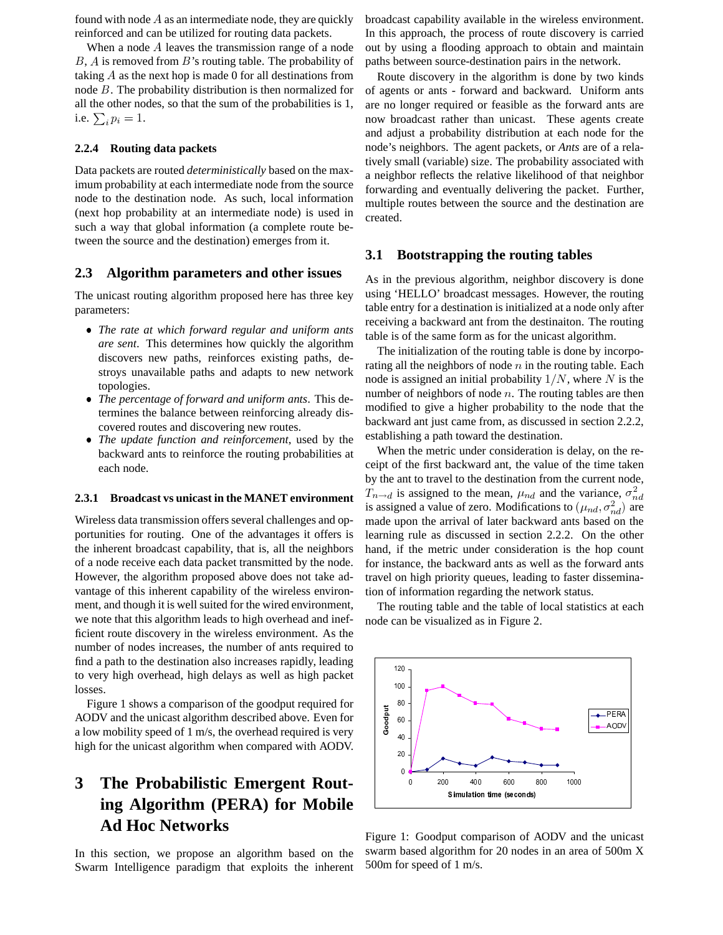found with node  $A$  as an intermediate node, they are quickly reinforced and can be utilized for routing data packets.

When a node  $A$  leaves the transmission range of a node  $B$ ,  $\overline{A}$  is removed from  $\overline{B}$ 's routing table. The probability of taking  $A$  as the next hop is made 0 for all destinations from node  $B$ . The probability distribution is then normalized for all the other nodes, so that the sum of the probabilities is 1, i.e.  $\sum_{i} p_i = 1$ .

#### **2.2.4 Routing data packets**

Data packets are routed *deterministically* based on the maximum probability at each intermediate node from the source node to the destination node. As such, local information (next hop probability at an intermediate node) is used in such a way that global information (a complete route between the source and the destination) emerges from it.

#### **2.3 Algorithm parameters and other issues**

The unicast routing algorithm proposed here has three key parameters:

- *The rate at which forward regular and uniform ants are sent*. This determines how quickly the algorithm discovers new paths, reinforces existing paths, destroys unavailable paths and adapts to new network topologies.
- *The percentage of forward and uniform ants*. This determines the balance between reinforcing already discovered routes and discovering new routes.
- *The update function and reinforcement*, used by the backward ants to reinforce the routing probabilities at each node.

#### **2.3.1 Broadcast vs unicast in the MANET environment**

Wireless data transmission offers several challenges and opportunities for routing. One of the advantages it offers is the inherent broadcast capability, that is, all the neighbors of a node receive each data packet transmitted by the node. However, the algorithm proposed above does not take advantage of this inherent capability of the wireless environment, and though it is well suited for the wired environment, we note that this algorithm leads to high overhead and inefficient route discovery in the wireless environment. As the number of nodes increases, the number of ants required to find a path to the destination also increases rapidly, leading to very high overhead, high delays as well as high packet losses.

Figure 1 shows a comparison of the goodput required for AODV and the unicast algorithm described above. Even for a low mobility speed of 1 m/s, the overhead required is very high for the unicast algorithm when compared with AODV.

# **3 The Probabilistic Emergent Routing Algorithm (PERA) for Mobile Ad Hoc Networks**

In this section, we propose an algorithm based on the Swarm Intelligence paradigm that exploits the inherent broadcast capability available in the wireless environment. In this approach, the process of route discovery is carried out by using a flooding approach to obtain and maintain paths between source-destination pairs in the network.

Route discovery in the algorithm is done by two kinds of agents or ants - forward and backward. Uniform ants are no longer required or feasible as the forward ants are now broadcast rather than unicast. These agents create and adjust a probability distribution at each node for the node's neighbors. The agent packets, or *Ants* are of a relatively small (variable) size. The probability associated with a neighbor reflects the relative likelihood of that neighbor forwarding and eventually delivering the packet. Further, multiple routes between the source and the destination are created.

#### **3.1 Bootstrapping the routing tables**

As in the previous algorithm, neighbor discovery is done using 'HELLO' broadcast messages. However, the routing table entry for a destination is initialized at a node only after receiving a backward ant from the destinaiton. The routing table is of the same form as for the unicast algorithm.

The initialization of the routing table is done by incorporating all the neighbors of node  $n$  in the routing table. Each node is assigned an initial probability  $1/N$ , where N is the number of neighbors of node  $n$ . The routing tables are then modified to give a higher probability to the node that the backward ant just came from, as discussed in section 2.2.2, establishing a path toward the destination.

When the metric under consideration is delay, on the receipt of the first backward ant, the value of the time taken by the ant to travel to the destination from the current node,  $T_{n\to d}$  is assigned to the mean,  $\mu_{nd}$  and the variance,  $\sigma_{nd}^2$ is assigned a value of zero. Modifications to  $(\mu_{nd}, \sigma_{nd}^2)$  are @ made upon the arrival of later backward ants based on the learning rule as discussed in section 2.2.2. On the other hand, if the metric under consideration is the hop count for instance, the backward ants as well as the forward ants travel on high priority queues, leading to faster dissemination of information regarding the network status.

The routing table and the table of local statistics at each node can be visualized as in Figure 2.



Figure 1: Goodput comparison of AODV and the unicast swarm based algorithm for 20 nodes in an area of 500m X 500m for speed of 1 m/s.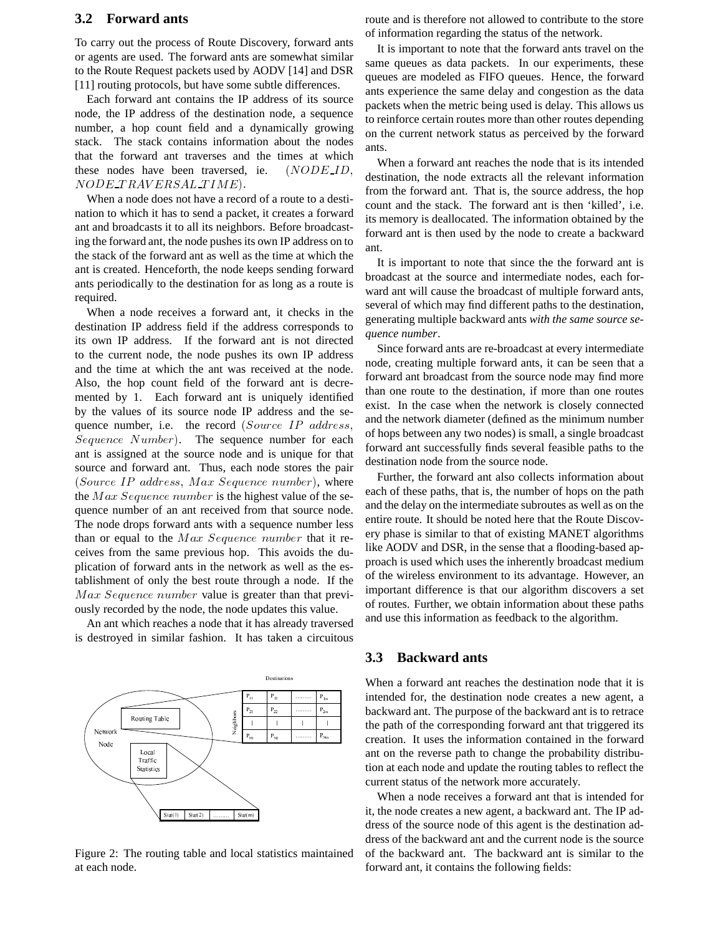#### **3.2 Forward ants**

To carry out the process of Route Discovery, forward ants or agents are used. The forward ants are somewhat similar to the Route Request packets used by AODV [14] and DSR [11] routing protocols, but have some subtle differences.

Each forward ant contains the IP address of its source node, the IP address of the destination node, a sequence number, a hop count field and a dynamically growing stack. The stack contains information about the nodes that the forward ant traverses and the times at which these nodes have been traversed, ie.  $NODE\_ID$ ,  $\ldots$  $\mathit{NODE\_TRAVERSAL\_TIME}).$ 

When a node does not have a record of a route to a destination to which it has to send a packet, it creates a forward ant and broadcasts it to all its neighbors. Before broadcasting the forward ant, the node pushes its own IP address on to the stack of the forward ant as well as the time at which the ant is created. Henceforth, the node keeps sending forward ants periodically to the destination for as long as a route is required.

When a node receives a forward ant, it checks in the destination IP address field if the address corresponds to its own IP address. If the forward ant is not directed to the current node, the node pushes its own IP address and the time at which the ant was received at the node. Also, the hop count field of the forward ant is decremented by 1. Each forward ant is uniquely identified by the values of its source node IP address and the sequence number, i.e. the record (Source IP address,  $\alpha$ Sequence Number). The sequence number for each ant is assigned at the source node and is unique for that source and forward ant. Thus, each node stores the pair (Source IP address, Max Sequence number), where the  $Max\;Sequence\;number$  is the highest value of the sequence number of an ant received from that source node. The node drops forward ants with a sequence number less than or equal to the  $Max$  Sequence number that it receives from the same previous hop. This avoids the duplication of forward ants in the network as well as the establishment of only the best route through a node. If the  $Max\; Sequence\; number$  value is greater than that previously recorded by the node, the node updates this value.

An ant which reaches a node that it has already traversed is destroyed in similar fashion. It has taken a circuitous



Figure 2: The routing table and local statistics maintained at each node.

route and is therefore not allowed to contribute to the store of information regarding the status of the network.

It is important to note that the forward ants travel on the same queues as data packets. In our experiments, these queues are modeled as FIFO queues. Hence, the forward ants experience the same delay and congestion as the data packets when the metric being used is delay. This allows us to reinforce certain routes more than other routes depending on the current network status as perceived by the forward ants.

When a forward ant reaches the node that is its intended destination, the node extracts all the relevant information from the forward ant. That is, the source address, the hop count and the stack. The forward ant is then 'killed', i.e. its memory is deallocated. The information obtained by the forward ant is then used by the node to create a backward ant.

It is important to note that since the the forward ant is broadcast at the source and intermediate nodes, each forward ant will cause the broadcast of multiple forward ants, several of which may find different paths to the destination, generating multiple backward ants *with the same source sequence number*.

Since forward ants are re-broadcast at every intermediate node, creating multiple forward ants, it can be seen that a forward ant broadcast from the source node may find more than one route to the destination, if more than one routes exist. In the case when the network is closely connected and the network diameter (defined as the minimum number of hops between any two nodes) is small, a single broadcast forward ant successfully finds several feasible paths to the destination node from the source node.

Further, the forward ant also collects information about each of these paths, that is, the number of hops on the path and the delay on the intermediate subroutes as well as on the entire route. It should be noted here that the Route Discovery phase is similar to that of existing MANET algorithms like AODV and DSR, in the sense that a flooding-based approach is used which uses the inherently broadcast medium of the wireless environment to its advantage. However, an important difference is that our algorithm discovers a set of routes. Further, we obtain information about these paths and use this information as feedback to the algorithm.

#### **3.3 Backward ants**

When a forward ant reaches the destination node that it is intended for, the destination node creates a new agent, a backward ant. The purpose of the backward ant is to retrace the path of the corresponding forward ant that triggered its creation. It uses the information contained in the forward ant on the reverse path to change the probability distribution at each node and update the routing tables to reflect the current status of the network more accurately.

When a node receives a forward ant that is intended for it, the node creates a new agent, a backward ant. The IP address of the source node of this agent is the destination address of the backward ant and the current node is the source of the backward ant. The backward ant is similar to the forward ant, it contains the following fields: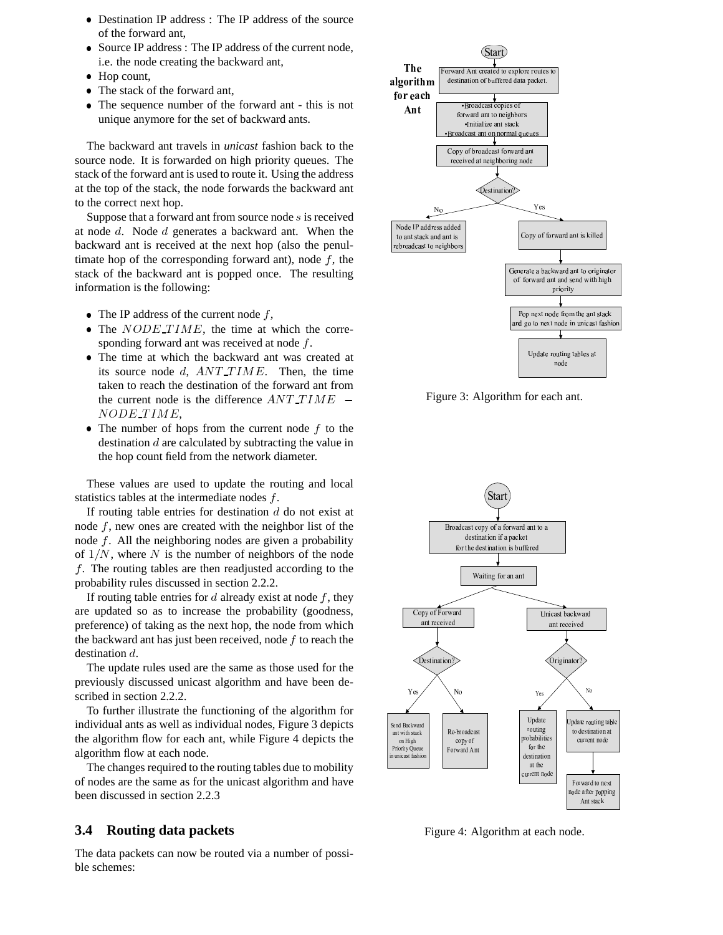- Destination IP address : The IP address of the source of the forward ant,
- Source IP address : The IP address of the current node, i.e. the node creating the backward ant,
- $\bullet$  Hop count,
- The stack of the forward ant,
- The sequence number of the forward ant this is not unique anymore for the set of backward ants.

The backward ant travels in *unicast* fashion back to the source node. It is forwarded on high priority queues. The stack of the forward ant is used to route it. Using the address at the top of the stack, the node forwards the backward ant to the correct next hop.

Suppose that a forward ant from source node  $s$  is received at node  $d$ . Node  $d$  generates a backward ant. When the backward ant is received at the next hop (also the penultimate hop of the corresponding forward ant), node  $f$ , the stack of the backward ant is popped once. The resulting information is the following:

- The IP address of the current node  $f$ ,
- The  $NODE\_TIME$ , the time at which the corresponding forward ant was received at node  $f$ .
- The time at which the backward ant was created at its source node  $d$ ,  $ANT\_TIME$ . Then, the time taken to reach the destination of the forward ant from the current node is the difference  $ANT\_TIME =$  $NODE\_TIME$ ,
- The number of hops from the current node  $f$  to the destination  $d$  are calculated by subtracting the value in the hop count field from the network diameter.

These values are used to update the routing and local statistics tables at the intermediate nodes  $f$ .

If routing table entries for destination  $d$  do not exist at node  $f$ , new ones are created with the neighbor list of the node  $f$ . All the neighboring nodes are given a probability of  $1/N$ , where N is the number of neighbors of the node  $f$ . The routing tables are then readjusted according to the probability rules discussed in section 2.2.2.

If routing table entries for  $d$  already exist at node  $f$ , they are updated so as to increase the probability (goodness, preference) of taking as the next hop, the node from which the backward ant has just been received, node  $f$  to reach the destination  $d$ .

The update rules used are the same as those used for the previously discussed unicast algorithm and have been described in section 2.2.2.

To further illustrate the functioning of the algorithm for individual ants as well as individual nodes, Figure 3 depicts the algorithm flow for each ant, while Figure 4 depicts the algorithm flow at each node.

The changes required to the routing tables due to mobility of nodes are the same as for the unicast algorithm and have been discussed in section 2.2.3

#### **3.4 Routing data packets**

The data packets can now be routed via a number of possible schemes:



Figure 3: Algorithm for each ant.



Figure 4: Algorithm at each node.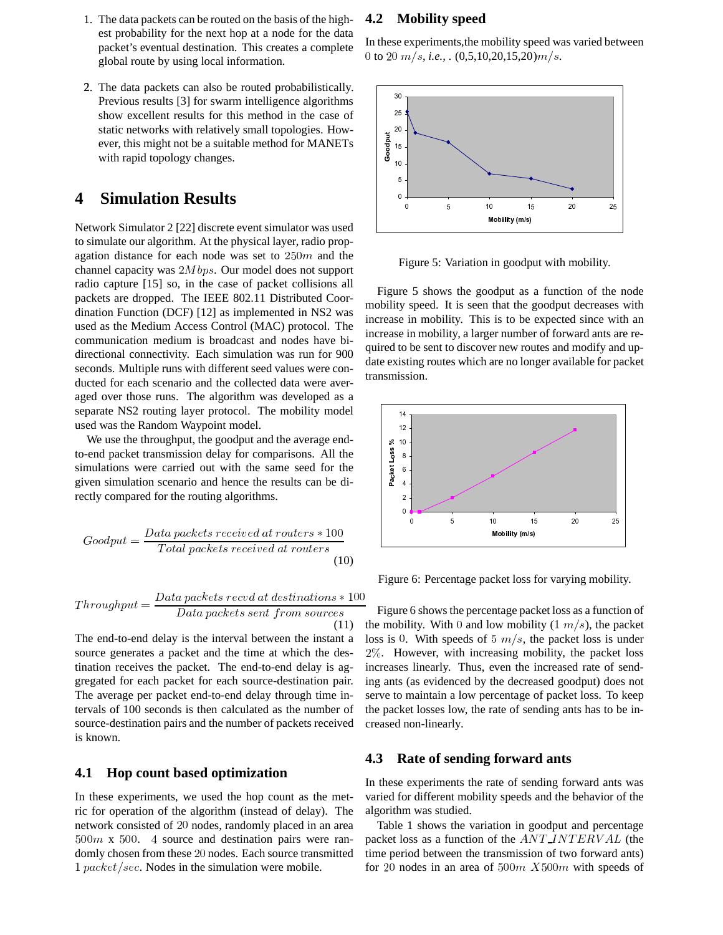- 1. The data packets can be routed on the basis of the highest probability for the next hop at a node for the data packet's eventual destination. This creates a complete global route by using local information.
- 2. The data packets can also be routed probabilistically. Previous results [3] for swarm intelligence algorithms show excellent results for this method in the case of static networks with relatively small topologies. However, this might not be a suitable method for MANETs with rapid topology changes.

### **4 Simulation Results**

Network Simulator 2 [22] discrete event simulator was used to simulate our algorithm. At the physical layer, radio propagation distance for each node was set to  $250m$  and the channel capacity was  $2Mbps$ . Our model does not support radio capture [15] so, in the case of packet collisions all packets are dropped. The IEEE 802.11 Distributed Coordination Function (DCF) [12] as implemented in NS2 was used as the Medium Access Control (MAC) protocol. The communication medium is broadcast and nodes have bidirectional connectivity. Each simulation was run for 900 seconds. Multiple runs with different seed values were conducted for each scenario and the collected data were averaged over those runs. The algorithm was developed as a separate NS2 routing layer protocol. The mobility model used was the Random Waypoint model.

We use the throughput, the goodput and the average endto-end packet transmission delay for comparisons. All the simulations were carried out with the same seed for the given simulation scenario and hence the results can be directly compared for the routing algorithms.

$$
Goodput = \frac{Data packets received at routers * 100}{Total packets received at routers}
$$
(10)

$$
Throughput = \frac{Data packets\; record\; at\; destinations * 100}{Data\; packets\; sent\; from\; sources}
$$
Figure 6  
(11) the mobility

The end-to-end delay is the interval between the instant a source generates a packet and the time at which the destination receives the packet. The end-to-end delay is aggregated for each packet for each source-destination pair. The average per packet end-to-end delay through time intervals of 100 seconds is then calculated as the number of source-destination pairs and the number of packets received is known.

#### **4.1 Hop count based optimization**

In these experiments, we used the hop count as the metric for operation of the algorithm (instead of delay). The network consisted of 20 nodes, randomly placed in an area  $500m \times 500$ . 4 source and destination pairs were randomly chosen from these 20 nodes. Each source transmitted 1 packet/sec. Nodes in the simulation were mobile.

#### **4.2 Mobility speed**

In these experiments,the mobility speed was varied between 0 to 20  $m/s$ , *i.e.*, .  $(0,5,10,20,15,20)m/s$ .



Figure 5: Variation in goodput with mobility.

Figure 5 shows the goodput as a function of the node mobility speed. It is seen that the goodput decreases with increase in mobility. This is to be expected since with an increase in mobility, a larger number of forward ants are required to be sent to discover new routes and modify and update existing routes which are no longer available for packet transmission.



Figure 6: Percentage packet loss for varying mobility.

Figure 6 shows the percentage packet loss as a function of the mobility. With 0 and low mobility  $(1 \; m/s)$ , the packet loss is 0. With speeds of 5  $m/s$ , the packet loss is under  $2\%$ . However, with increasing mobility, the packet loss increases linearly. Thus, even the increased rate of sending ants (as evidenced by the decreased goodput) does not serve to maintain a low percentage of packet loss. To keep the packet losses low, the rate of sending ants has to be increased non-linearly.

#### **4.3 Rate of sending forward ants**

In these experiments the rate of sending forward ants was varied for different mobility speeds and the behavior of the algorithm was studied.

Table 1 shows the variation in goodput and percentage packet loss as a function of the  $ANT\_INTERVAL$  (the time period between the transmission of two forward ants) for 20 nodes in an area of  $500m$   $X500m$  with speeds of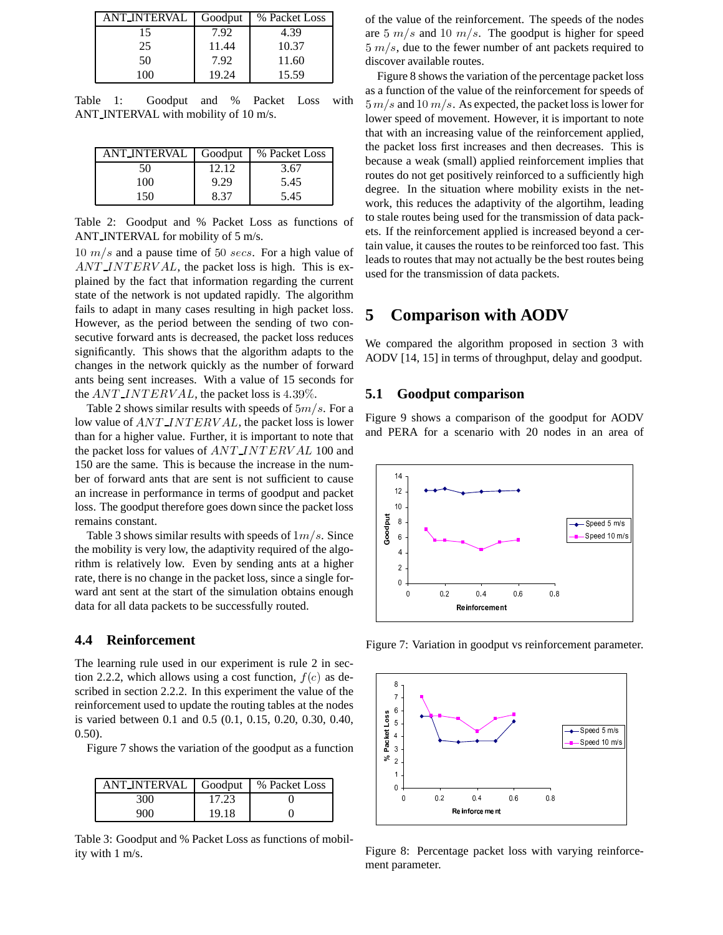| <b>ANT_INTERVAL</b> | Goodput | % Packet Loss |
|---------------------|---------|---------------|
| 15                  | 7.92    | 4.39          |
| 25                  | 11.44   | 10.37         |
| 50                  | 7.92    | 11.60         |
| 100                 | 19.24   | 15.59         |

Table 1: Goodput and % Packet Loss with ANT INTERVAL with mobility of 10 m/s.

| ANT_INTERVAL | Goodput | % Packet Loss |
|--------------|---------|---------------|
| 50           | 12.12   | 3.67          |
| 100          | 9.29    | 5.45          |
| 150          | 8.37    | 5.45          |

Table 2: Goodput and % Packet Loss as functions of ANT INTERVAL for mobility of 5 m/s.

 $10 \; m/s$  and a pause time of 50 secs. For a high value of  $ANT\_INTERVAL$ , the packet loss is high. This is explained by the fact that information regarding the current state of the network is not updated rapidly. The algorithm fails to adapt in many cases resulting in high packet loss. However, as the period between the sending of two consecutive forward ants is decreased, the packet loss reduces significantly. This shows that the algorithm adapts to the changes in the network quickly as the number of forward ants being sent increases. With a value of 15 seconds for the  $ANTINTERVAL$ , the packet loss is 4.39%.

Table 2 shows similar results with speeds of  $5m/s$ . For a low value of  $ANT\_INTERVAL$ , the packet loss is lower than for a higher value. Further, it is important to note that the packet loss for values of  $ANT\_INTERVAL$  100 and 150 are the same. This is because the increase in the number of forward ants that are sent is not sufficient to cause an increase in performance in terms of goodput and packet loss. The goodput therefore goes down since the packet loss remains constant.

Table 3 shows similar results with speeds of  $1m/s$ . Since the mobility is very low, the adaptivity required of the algorithm is relatively low. Even by sending ants at a higher rate, there is no change in the packet loss, since a single forward ant sent at the start of the simulation obtains enough data for all data packets to be successfully routed.

#### **4.4 Reinforcement**

The learning rule used in our experiment is rule 2 in section 2.2.2, which allows using a cost function,  $f(c)$  as described in section 2.2.2. In this experiment the value of the reinforcement used to update the routing tables at the nodes is varied between 0.1 and 0.5 (0.1, 0.15, 0.20, 0.30, 0.40, 0.50).

Figure 7 shows the variation of the goodput as a function

| ANT INTERVAL   Goodput |       | % Packet Loss |
|------------------------|-------|---------------|
| 300                    | 17.23 |               |
| 900                    | 19.18 |               |

Table 3: Goodput and % Packet Loss as functions of mobility with 1 m/s.

of the value of the reinforcement. The speeds of the nodes are  $5 \ m/s$  and  $10 \ m/s$ . The goodput is higher for speed  $5 \, m/s$ , due to the fewer number of ant packets required to discover available routes.

Figure 8 shows the variation of the percentage packet loss as a function of the value of the reinforcement for speeds of  $5 m/s$  and  $10 m/s$ . As expected, the packet loss is lower for lower speed of movement. However, it is important to note that with an increasing value of the reinforcement applied, the packet loss first increases and then decreases. This is because a weak (small) applied reinforcement implies that routes do not get positively reinforced to a sufficiently high degree. In the situation where mobility exists in the network, this reduces the adaptivity of the algortihm, leading to stale routes being used for the transmission of data packets. If the reinforcement applied is increased beyond a certain value, it causes the routes to be reinforced too fast. This leads to routes that may not actually be the best routes being used for the transmission of data packets.

### **5 Comparison with AODV**

We compared the algorithm proposed in section 3 with AODV [14, 15] in terms of throughput, delay and goodput.

#### **5.1 Goodput comparison**

Figure 9 shows a comparison of the goodput for AODV and PERA for a scenario with 20 nodes in an area of



Figure 7: Variation in goodput vs reinforcement parameter.



Figure 8: Percentage packet loss with varying reinforcement parameter.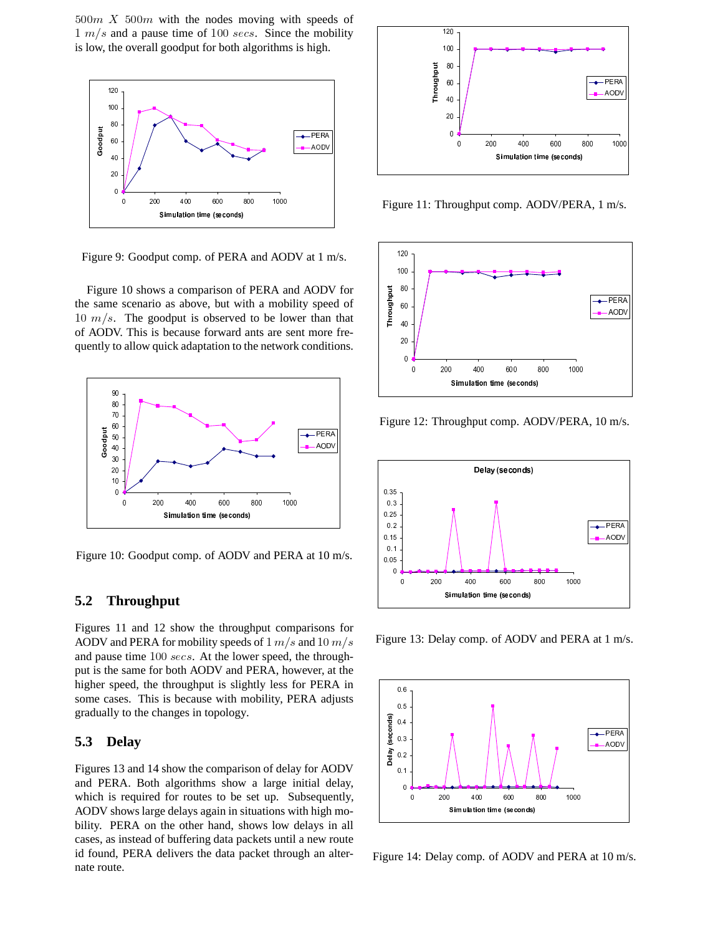$500m$  X  $500m$  with the nodes moving with speeds of  $\frac{1}{2}$  m/s and a pause time of 100 secs. Since the mobility is low, the overall goodput for both algorithms is high.



Figure 9: Goodput comp. of PERA and AODV at 1 m/s.

Figure 10 shows a comparison of PERA and AODV for the same scenario as above, but with a mobility speed of 10  $m/s$ . The goodput is observed to be lower than that of AODV. This is because forward ants are sent more frequently to allow quick adaptation to the network conditions.



Figure 10: Goodput comp. of AODV and PERA at 10 m/s.

#### **5.2 Throughput**

Figures 11 and 12 show the throughput comparisons for AODV and PERA for mobility speeds of  $1 m/s$  and  $10 m/s$ and pause time  $100$  secs. At the lower speed, the throughput is the same for both AODV and PERA, however, at the higher speed, the throughput is slightly less for PERA in some cases. This is because with mobility, PERA adjusts gradually to the changes in topology.

#### **5.3 Delay**

Figures 13 and 14 show the comparison of delay for AODV and PERA. Both algorithms show a large initial delay, which is required for routes to be set up. Subsequently, AODV shows large delays again in situations with high mobility. PERA on the other hand, shows low delays in all cases, as instead of buffering data packets until a new route id found, PERA delivers the data packet through an alternate route.



Figure 11: Throughput comp. AODV/PERA, 1 m/s.



Figure 12: Throughput comp. AODV/PERA, 10 m/s.



Figure 13: Delay comp. of AODV and PERA at 1 m/s.



Figure 14: Delay comp. of AODV and PERA at 10 m/s.